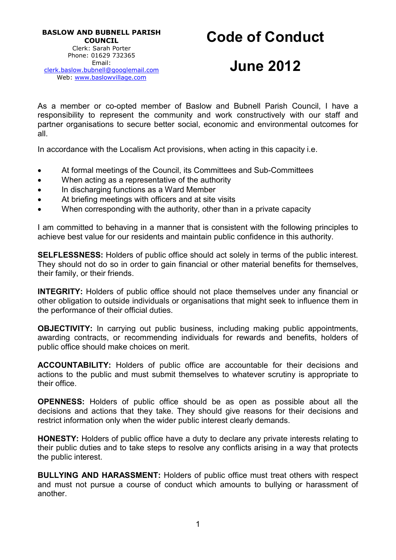# Code of Conduct

# June 2012

As a member or co-opted member of Baslow and Bubnell Parish Council, I have a responsibility to represent the community and work constructively with our staff and partner organisations to secure better social, economic and environmental outcomes for all.

In accordance with the Localism Act provisions, when acting in this capacity i.e.

- At formal meetings of the Council, its Committees and Sub-Committees
- When acting as a representative of the authority
- In discharging functions as a Ward Member
- At briefing meetings with officers and at site visits
- When corresponding with the authority, other than in a private capacity

I am committed to behaving in a manner that is consistent with the following principles to achieve best value for our residents and maintain public confidence in this authority.

SELFLESSNESS: Holders of public office should act solely in terms of the public interest. They should not do so in order to gain financial or other material benefits for themselves, their family, or their friends.

INTEGRITY: Holders of public office should not place themselves under any financial or other obligation to outside individuals or organisations that might seek to influence them in the performance of their official duties.

OBJECTIVITY: In carrying out public business, including making public appointments, awarding contracts, or recommending individuals for rewards and benefits, holders of public office should make choices on merit.

ACCOUNTABILITY: Holders of public office are accountable for their decisions and actions to the public and must submit themselves to whatever scrutiny is appropriate to their office.

OPENNESS: Holders of public office should be as open as possible about all the decisions and actions that they take. They should give reasons for their decisions and restrict information only when the wider public interest clearly demands.

HONESTY: Holders of public office have a duty to declare any private interests relating to their public duties and to take steps to resolve any conflicts arising in a way that protects the public interest.

BULLYING AND HARASSMENT: Holders of public office must treat others with respect and must not pursue a course of conduct which amounts to bullying or harassment of another.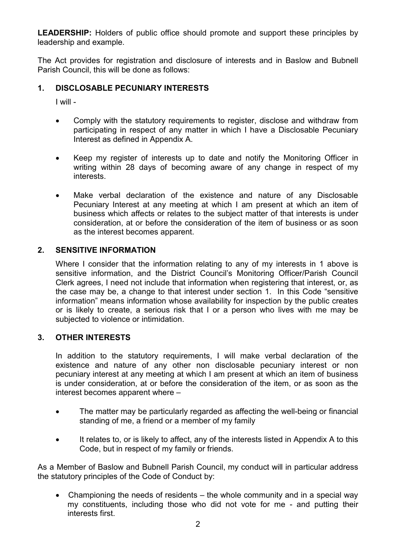LEADERSHIP: Holders of public office should promote and support these principles by leadership and example.

The Act provides for registration and disclosure of interests and in Baslow and Bubnell Parish Council, this will be done as follows:

#### 1. DISCLOSABLE PECUNIARY INTERESTS

I will -

- Comply with the statutory requirements to register, disclose and withdraw from participating in respect of any matter in which I have a Disclosable Pecuniary Interest as defined in Appendix A.
- Keep my register of interests up to date and notify the Monitoring Officer in writing within 28 days of becoming aware of any change in respect of my interests.
- Make verbal declaration of the existence and nature of any Disclosable Pecuniary Interest at any meeting at which I am present at which an item of business which affects or relates to the subject matter of that interests is under consideration, at or before the consideration of the item of business or as soon as the interest becomes apparent.

#### 2. SENSITIVE INFORMATION

Where I consider that the information relating to any of my interests in 1 above is sensitive information, and the District Council's Monitoring Officer/Parish Council Clerk agrees, I need not include that information when registering that interest, or, as the case may be, a change to that interest under section 1. In this Code "sensitive information" means information whose availability for inspection by the public creates or is likely to create, a serious risk that I or a person who lives with me may be subjected to violence or intimidation.

#### 3. OTHER INTERESTS

In addition to the statutory requirements, I will make verbal declaration of the existence and nature of any other non disclosable pecuniary interest or non pecuniary interest at any meeting at which I am present at which an item of business is under consideration, at or before the consideration of the item, or as soon as the interest becomes apparent where –

- The matter may be particularly regarded as affecting the well-being or financial standing of me, a friend or a member of my family
- It relates to, or is likely to affect, any of the interests listed in Appendix A to this Code, but in respect of my family or friends.

As a Member of Baslow and Bubnell Parish Council, my conduct will in particular address the statutory principles of the Code of Conduct by:

 Championing the needs of residents – the whole community and in a special way my constituents, including those who did not vote for me - and putting their interests first.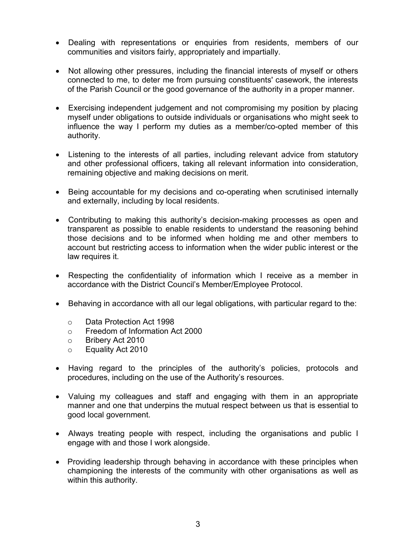- Dealing with representations or enquiries from residents, members of our communities and visitors fairly, appropriately and impartially.
- Not allowing other pressures, including the financial interests of myself or others connected to me, to deter me from pursuing constituents' casework, the interests of the Parish Council or the good governance of the authority in a proper manner.
- Exercising independent judgement and not compromising my position by placing myself under obligations to outside individuals or organisations who might seek to influence the way I perform my duties as a member/co-opted member of this authority.
- Listening to the interests of all parties, including relevant advice from statutory and other professional officers, taking all relevant information into consideration, remaining objective and making decisions on merit.
- Being accountable for my decisions and co-operating when scrutinised internally and externally, including by local residents.
- Contributing to making this authority's decision-making processes as open and transparent as possible to enable residents to understand the reasoning behind those decisions and to be informed when holding me and other members to account but restricting access to information when the wider public interest or the law requires it.
- Respecting the confidentiality of information which I receive as a member in accordance with the District Council's Member/Employee Protocol.
- Behaving in accordance with all our legal obligations, with particular regard to the:
	- o Data Protection Act 1998
	- o Freedom of Information Act 2000
	- o Bribery Act 2010
	- o Equality Act 2010
- Having regard to the principles of the authority's policies, protocols and procedures, including on the use of the Authority's resources.
- Valuing my colleagues and staff and engaging with them in an appropriate manner and one that underpins the mutual respect between us that is essential to good local government.
- Always treating people with respect, including the organisations and public I engage with and those I work alongside.
- Providing leadership through behaving in accordance with these principles when championing the interests of the community with other organisations as well as within this authority.